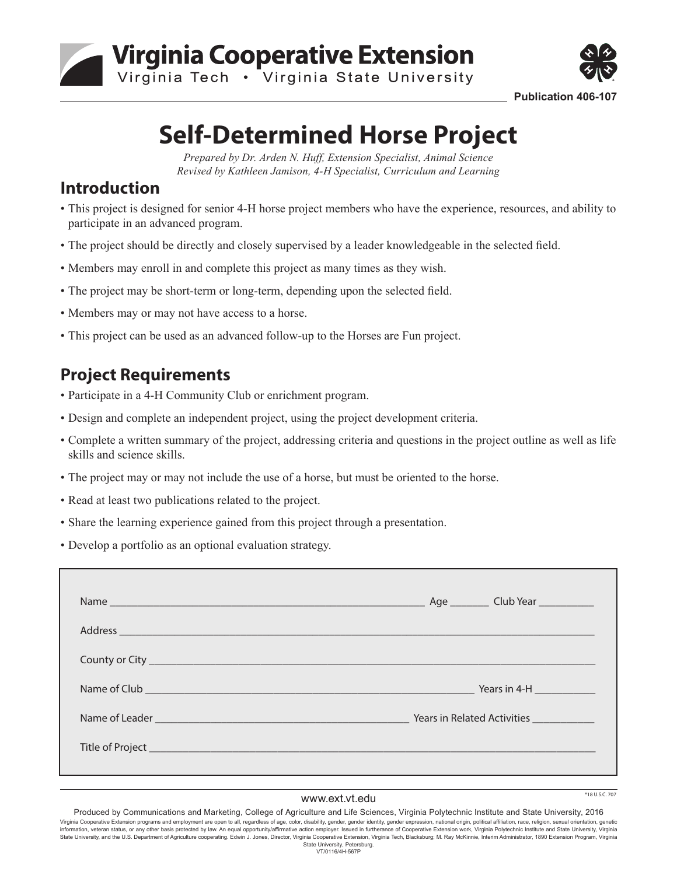



**Publication 406-107**

# **Self-Determined Horse Project**

*Prepared by Dr. Arden N. Huff, Extension Specialist, Animal Science Revised by Kathleen Jamison, 4-H Specialist, Curriculum and Learning*

#### **Introduction**

- This project is designed for senior 4-H horse project members who have the experience, resources, and ability to participate in an advanced program.
- The project should be directly and closely supervised by a leader knowledgeable in the selected field.
- Members may enroll in and complete this project as many times as they wish.
- The project may be short-term or long-term, depending upon the selected field.
- Members may or may not have access to a horse.
- This project can be used as an advanced follow-up to the Horses are Fun project.

#### **Project Requirements**

- Participate in a 4-H Community Club or enrichment program.
- Design and complete an independent project, using the project development criteria.
- Complete a written summary of the project, addressing criteria and questions in the project outline as well as life skills and science skills.
- The project may or may not include the use of a horse, but must be oriented to the horse.
- Read at least two publications related to the project.
- Share the learning experience gained from this project through a presentation.
- Develop a portfolio as an optional evaluation strategy.

|                                                                                                                                                                                                                                    | Address experience and the contract of the contract of the contract of the contract of the contract of the contract of the contract of the contract of the contract of the contract of the contract of the contract of the con |
|------------------------------------------------------------------------------------------------------------------------------------------------------------------------------------------------------------------------------------|--------------------------------------------------------------------------------------------------------------------------------------------------------------------------------------------------------------------------------|
|                                                                                                                                                                                                                                    |                                                                                                                                                                                                                                |
| Name of Club <b>Exercise Club Exercise Contract Contract Contract Contract Contract Contract Contract Contract Contract Contract Contract Contract Contract Contract Contract Contract Contract Contract Contract Contract Con</b> | <b>Printing Printing Printing Printing Printing Printing Print</b>                                                                                                                                                             |
|                                                                                                                                                                                                                                    |                                                                                                                                                                                                                                |
|                                                                                                                                                                                                                                    |                                                                                                                                                                                                                                |
|                                                                                                                                                                                                                                    |                                                                                                                                                                                                                                |

#### www.ext.vt.edu

 $*18$  U.S.C. 707

Produced by Communications and Marketing, College of Agriculture and Life Sciences, Virginia Polytechnic Institute and State University, 2016 Virginia Cooperative Extension programs and employment are open to all, regardless of age, color, disability, gender, gender identity, gender expression, national origin, political affiliation, race, religion, sexual orien information, veteran status, or any other basis protected by law. An equal opportunity/affirmative action employer. Issued in furtherance of Cooperative Extension work, Virginia Polytechnic Institute and State University, State University, and the U.S. Department of Agriculture cooperating. Edwin J. Jones, Director, Virginia Cooperative Extension, Virginia Tech, Blacksburg; M. Ray McKinnie, Interim Administrator, 1890 Extension Program, Vir State University, Petersburg. VT/0116/4H-567P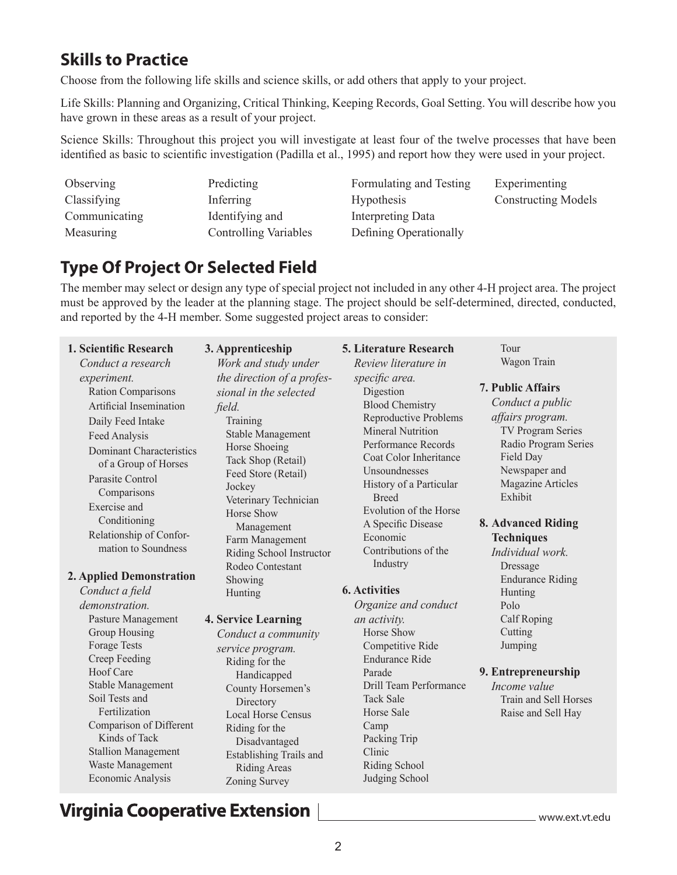#### **Skills to Practice**

Choose from the following life skills and science skills, or add others that apply to your project.

Life Skills: Planning and Organizing, Critical Thinking, Keeping Records, Goal Setting. You will describe how you have grown in these areas as a result of your project.

Science Skills: Throughout this project you will investigate at least four of the twelve processes that have been identified as basic to scientific investigation (Padilla et al., 1995) and report how they were used in your project.

**Observing** Classifying Communicating Measuring

Predicting Inferring Identifying and Controlling Variables Formulating and Testing Hypothesis Interpreting Data Defining Operationally

Experimenting Constructing Models

### **Type Of Project Or Selected Field**

The member may select or design any type of special project not included in any other 4-H project area. The project must be approved by the leader at the planning stage. The project should be self-determined, directed, conducted, and reported by the 4-H member. Some suggested project areas to consider:

| 1. Scientific Research                                                                                                                                                            | 3. Apprenticeship                                                                                                                                                              | <b>5. Literature Research</b>                                                                                                                                                                                         | Tour                                                                                                                                                                           |
|-----------------------------------------------------------------------------------------------------------------------------------------------------------------------------------|--------------------------------------------------------------------------------------------------------------------------------------------------------------------------------|-----------------------------------------------------------------------------------------------------------------------------------------------------------------------------------------------------------------------|--------------------------------------------------------------------------------------------------------------------------------------------------------------------------------|
| Conduct a research                                                                                                                                                                | Work and study under                                                                                                                                                           | Review literature in                                                                                                                                                                                                  | Wagon Train                                                                                                                                                                    |
| experiment.<br>Ration Comparisons<br>Artificial Insemination<br>Daily Feed Intake<br>Feed Analysis<br><b>Dominant Characteristics</b><br>of a Group of Horses<br>Parasite Control | the direction of a profes-<br>sional in the selected<br>field.<br>Training<br><b>Stable Management</b><br>Horse Shoeing<br>Tack Shop (Retail)<br>Feed Store (Retail)<br>Jockey | specific area.<br>Digestion<br><b>Blood Chemistry</b><br><b>Reproductive Problems</b><br><b>Mineral Nutrition</b><br>Performance Records<br>Coat Color Inheritance<br><b>Unsoundnesses</b><br>History of a Particular | <b>7. Public Affairs</b><br>Conduct a public<br>affairs program.<br><b>TV Program Series</b><br>Radio Program Series<br>Field Day<br>Newspaper and<br><b>Magazine Articles</b> |
| Comparisons<br>Exercise and<br>Conditioning<br>Relationship of Confor-<br>mation to Soundness<br>2. Applied Demonstration<br>Conduct a field<br>demonstration.                    | Veterinary Technician<br>Horse Show<br>Management<br>Farm Management<br>Riding School Instructor<br>Rodeo Contestant<br>Showing<br>Hunting                                     | <b>Breed</b><br>Evolution of the Horse<br>A Specific Disease<br>Economic<br>Contributions of the<br>Industry<br><b>6. Activities</b><br>Organize and conduct                                                          | Exhibit<br>8. Advanced Riding<br><b>Techniques</b><br>Individual work.<br>Dressage<br><b>Endurance Riding</b><br>Hunting<br>Polo                                               |
| Pasture Management                                                                                                                                                                | <b>4. Service Learning</b>                                                                                                                                                     | an activity.                                                                                                                                                                                                          | Calf Roping                                                                                                                                                                    |
| Group Housing<br><b>Forage Tests</b><br>Creep Feeding                                                                                                                             | Conduct a community<br>service program.                                                                                                                                        | Horse Show<br>Competitive Ride<br><b>Endurance Ride</b>                                                                                                                                                               | Cutting<br>Jumping                                                                                                                                                             |
| Hoof Care<br>Stable Management<br>Soil Tests and<br>Fertilization<br>Comparison of Different<br>Kinds of Tack                                                                     | Riding for the<br>Handicapped<br>County Horsemen's<br>Directory<br><b>Local Horse Census</b><br>Riding for the<br>Disadvantaged                                                | Parade<br>Drill Team Performance<br><b>Tack Sale</b><br>Horse Sale<br>Camp<br>Packing Trip                                                                                                                            | 9. Entrepreneurship<br>Income value<br>Train and Sell Horses<br>Raise and Sell Hay                                                                                             |

## **Virginia Cooperative Extension**

Stallion Management Waste Management Economic Analysis

www.ext.vt.edu

Clinic Riding School Judging School

Establishing Trails and Riding Areas Zoning Survey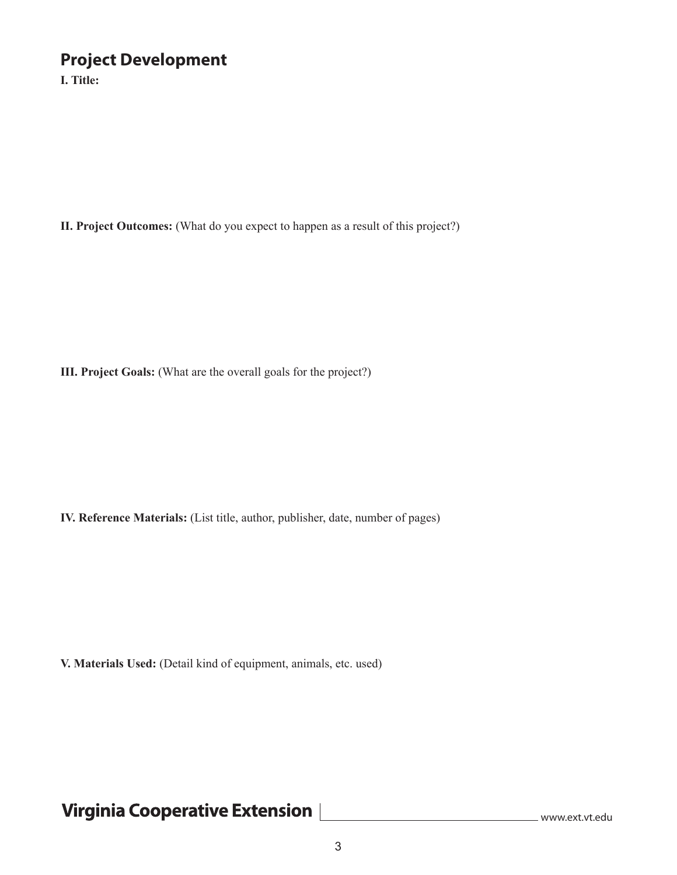#### **Project Development**

**I. Title:**

**II. Project Outcomes:** (What do you expect to happen as a result of this project?)

**III. Project Goals:** (What are the overall goals for the project?)

**IV. Reference Materials:** (List title, author, publisher, date, number of pages)

**V. Materials Used:** (Detail kind of equipment, animals, etc. used)

# Virginia Cooperative Extension [